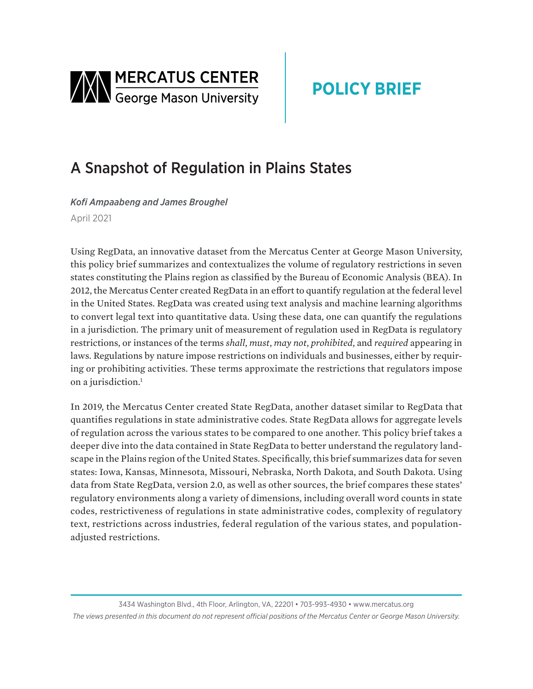<span id="page-0-0"></span>

# **POLICY BRIEF**

## A Snapshot of Regulation in Plains States

*Kofi Ampaabeng and James Broughel* April 2021

Using RegData, an innovative dataset from the Mercatus Center at George Mason University, this policy brief summarizes and contextualizes the volume of regulatory restrictions in seven states constituting the Plains region as classified by the Bureau of Economic Analysis (BEA). In 2012, the Mercatus Center created RegData in an effort to quantify regulation at the federal level in the United States. RegData was created using text analysis and machine learning algorithms to convert legal text into quantitative data. Using these data, one can quantify the regulations in a jurisdiction. The primary unit of measurement of regulation used in RegData is regulatory restrictions, or instances of the terms *shall*, *must*, *may not*, *prohibited*, and *required* appearing in laws. Regulations by nature impose restrictions on individuals and businesses, either by requiring or prohibiting activities. These terms approximate the restrictions that regulators impose on a jurisdiction.<sup>1</sup>

In 2019, the Mercatus Center created State RegData, another dataset similar to RegData that quantifies regulations in state administrative codes. State RegData allows for aggregate levels of regulation across the various states to be compared to one another. This policy brief takes a deeper dive into the data contained in State RegData to better understand the regulatory landscape in the Plains region of the United States. Specifically, this brief summarizes data for seven states: Iowa, Kansas, Minnesota, Missouri, Nebraska, North Dakota, and South Dakota. Using data from State RegData, version 2.0, as well as other sources, the brief compares these states' regulatory environments along a variety of dimensions, including overall word counts in state codes, restrictiveness of regulations in state administrative codes, complexity of regulatory text, restrictions across industries, federal regulation of the various states, and populationadiusted restrictions.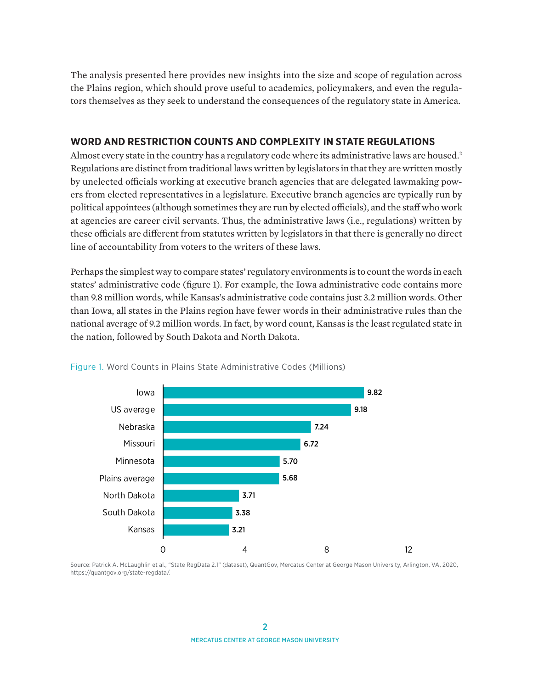<span id="page-1-0"></span>The analysis presented here provides new insights into the size and scope of regulation across the Plains region, which should prove useful to academics, policymakers, and even the regulators themselves as they seek to understand the consequences of the regulatory state in America.

## **WORD AND RESTRICTION COUNTS AND COMPLEXITY IN STATE REGULATIONS**

Almost every state in the country has a regulatory code where its administrative laws are housed.<sup>[2](#page-8-0)</sup> Regulations are distinct from traditional laws written by legislators in that they are written mostly by unelected officials working at executive branch agencies that are delegated lawmaking powers from elected representatives in a legislature. Executive branch agencies are typically run by political appointees (although sometimes they are run by elected officials), and the staff who work at agencies are career civil servants. Thus, the administrative laws (i.e., regulations) written by these officials are different from statutes written by legislators in that there is generally no direct line of accountability from voters to the writers of these laws.

Perhaps the simplest way to compare states' regulatory environments is to count the words in each states' administrative code (figure 1). For example, the Iowa administrative code contains more than 9.8 million words, while Kansas's administrative code contains just 3.2 million words. Other than Iowa, all states in the Plains region have fewer words in their administrative rules than the national average of 9.2 million words. In fact, by word count, Kansas is the least regulated state in the nation, followed by South Dakota and North Dakota.



#### Figure 1. Word Counts in Plains State Administrative Codes (Millions)

Source: Patrick A. McLaughlin et al., "State RegData 2.1" (dataset), QuantGov, Mercatus Center at George Mason University, Arlington, VA, 2020, [https://quantgov.org/state-regdata/.](https://quantgov.org/state-regdata/)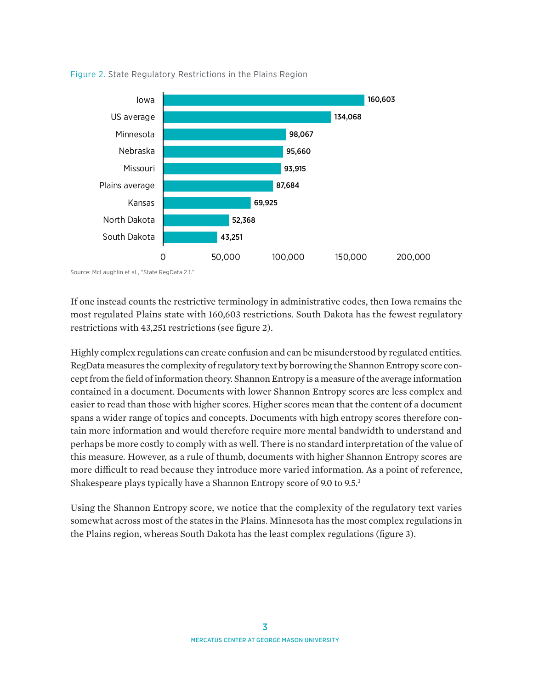

<span id="page-2-0"></span>Figure 2. State Regulatory Restrictions in the Plains Region

Source: McLaughlin et al., "State RegData 2.1."

If one instead counts the restrictive terminology in administrative codes, then Iowa remains the most regulated Plains state with 160,603 restrictions. South Dakota has the fewest regulatory restrictions with 43,251 restrictions (see figure 2).

Highly complex regulations can create confusion and can be misunderstood by regulated entities. RegData measures the complexity of regulatory text by borrowing the Shannon Entropy score concept from the field of information theory. Shannon Entropy is a measure of the average information contained in a document. Documents with lower Shannon Entropy scores are less complex and easier to read than those with higher scores. Higher scores mean that the content of a document spans a wider range of topics and concepts. Documents with high entropy scores therefore contain more information and would therefore require more mental bandwidth to understand and perhaps be more costly to comply with as well. There is no standard interpretation of the value of this measure. However, as a rule of thumb, documents with higher Shannon Entropy scores are more difficult to read because they introduce more varied information. As a point of reference, Shakespeare plays typically have a Shannon Entropy score of 9.0 to 9.5[.3](#page-8-0)

Using the Shannon Entropy score, we notice that the complexity of the regulatory text varies somewhat across most of the states in the Plains. Minnesota has the most complex regulations in the Plains region, whereas South Dakota has the least complex regulations (figure 3).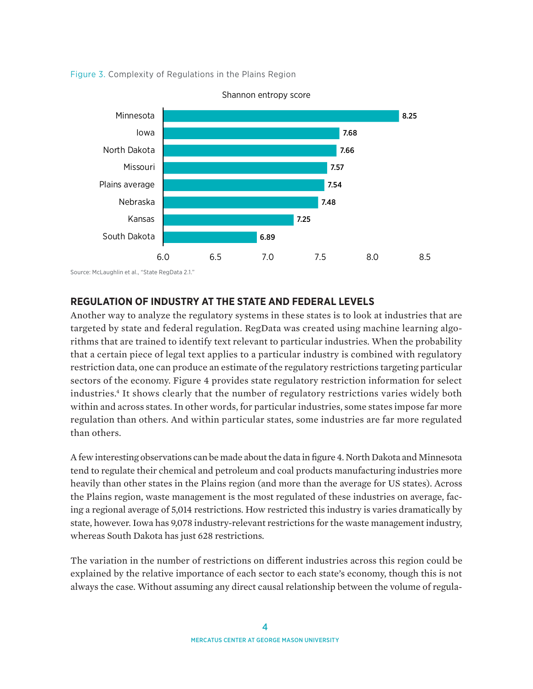<span id="page-3-0"></span>



Shannon entropy score

## **REGULATION OF INDUSTRY AT THE STATE AND FEDERAL LEVELS**

Another way to analyze the regulatory systems in these states is to look at industries that are targeted by state and federal regulation. RegData was created using machine learning algorithms that are trained to identify text relevant to particular industries. When the probability that a certain piece of legal text applies to a particular industry is combined with regulatory restriction data, one can produce an estimate of the regulatory restrictions targeting particular sectors of the economy. Figure 4 provides state regulatory restriction information for select industries.[4](#page-8-0) It shows clearly that the number of regulatory restrictions varies widely both within and across states. In other words, for particular industries, some states impose far more regulation than others. And within particular states, some industries are far more regulated than others.

A few interesting observations can be made about the data in figure 4. North Dakota and Minnesota tend to regulate their chemical and petroleum and coal products manufacturing industries more heavily than other states in the Plains region (and more than the average for US states). Across the Plains region, waste management is the most regulated of these industries on average, facing a regional average of 5,014 restrictions. How restricted this industry is varies dramatically by state, however. Iowa has 9,078 industry-relevant restrictions for the waste management industry, whereas South Dakota has just 628 restrictions.

The variation in the number of restrictions on different industries across this region could be explained by the relative importance of each sector to each state's economy, though this is not always the case. Without assuming any direct causal relationship between the volume of regula-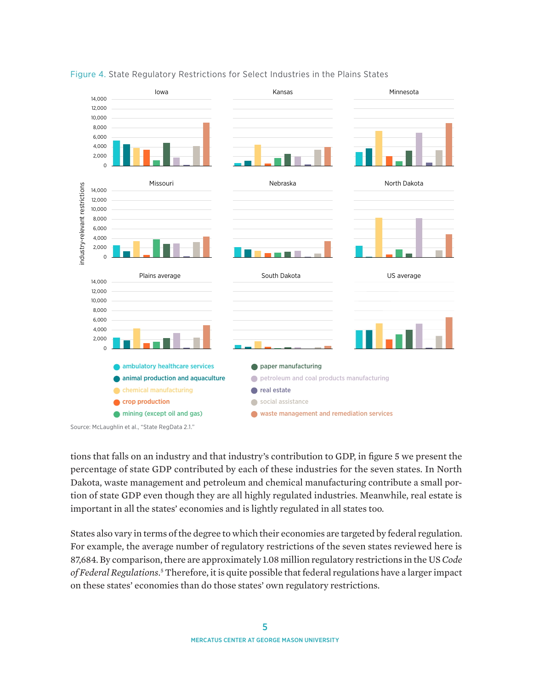

#### <span id="page-4-0"></span>Figure 4. State Regulatory Restrictions for Select Industries in the Plains States

Source: McLaughlin et al., "State RegData 2.1."

tions that falls on an industry and that industry's contribution to GDP, in figure 5 we present the percentage of state GDP contributed by each of these industries for the seven states. In North Dakota, waste management and petroleum and chemical manufacturing contribute a small portion of state GDP even though they are all highly regulated industries. Meanwhile, real estate is important in all the states' economies and is lightly regulated in all states too.

States also vary in terms of the degree to which their economies are targeted by federal regulation. For example, the average number of regulatory restrictions of the seven states reviewed here is 87,684. By comparison, there are approximately 1.08 million regulatory restrictions in the US *Code of Federal Regulations*. [5](#page-8-0) Therefore, it is quite possible that federal regulations have a larger impact on these states' economies than do those states' own regulatory restrictions.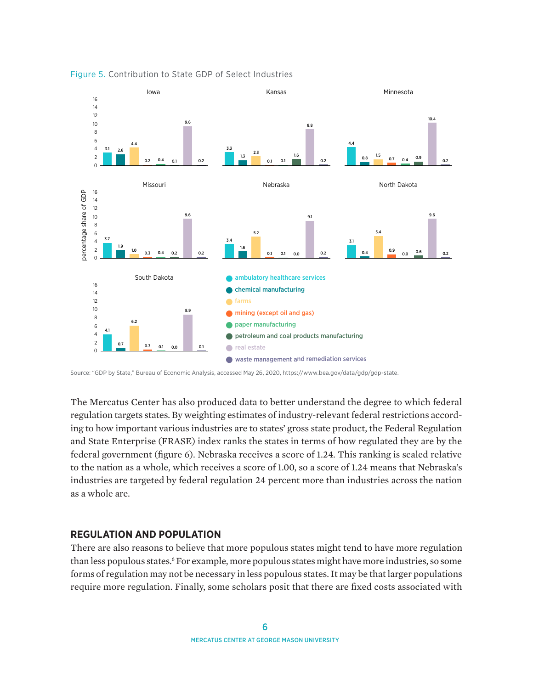

#### <span id="page-5-0"></span>Figure 5. Contribution to State GDP of Select Industries

Source: "GDP by State," Bureau of Economic Analysis, accessed May 26, 2020, <https://www.bea.gov/data/gdp/gdp-state>.

The Mercatus Center has also produced data to better understand the degree to which federal regulation targets states. By weighting estimates of industry-relevant federal restrictions according to how important various industries are to states' gross state product, the Federal Regulation and State Enterprise (FRASE) index ranks the states in terms of how regulated they are by the federal government (figure 6). Nebraska receives a score of 1.24. This ranking is scaled relative to the nation as a whole, which receives a score of 1.00, so a score of 1.24 means that Nebraska's industries are targeted by federal regulation 24 percent more than industries across the nation as a whole are.

### **REGULATION AND POPULATION**

There are also reasons to believe that more populous states might tend to have more regulation than less populous states.<sup>6</sup> For example, more populous states might have more industries, so some forms of regulation may not be necessary in less populous states. It may be that larger populations require more regulation. Finally, some scholars posit that there are fixed costs associated with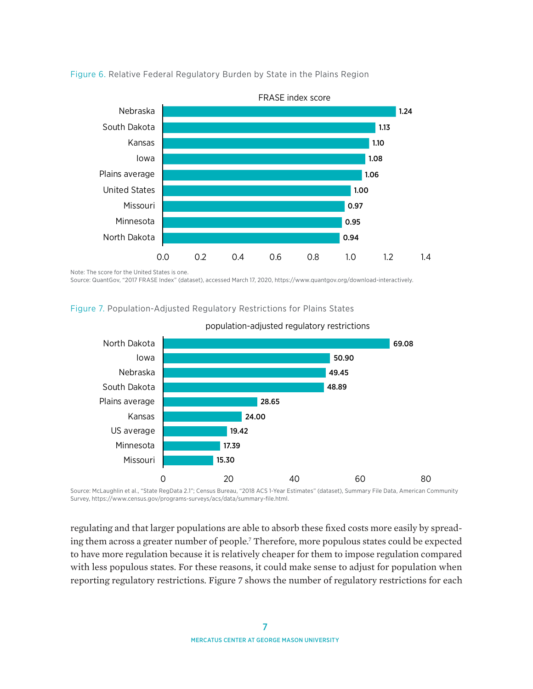

<span id="page-6-0"></span>Figure 6. Relative Federal Regulatory Burden by State in the Plains Region

Note: The score for the United States is one.

Source: QuantGov, "2017 FRASE Index" (dataset), accessed March 17, 2020, [https://www.quantgov.org/download-interactively.](https://www.quantgov.org/download-interactively)

Figure 7. Population-Adjusted Regulatory Restrictions for Plains States



population-adjusted regulatory restrictions

Source: McLaughlin et al., "State RegData 2.1"; Census Bureau, "2018 ACS 1-Year Estimates" (dataset), Summary File Data, American Community Survey,<https://www.census.gov/programs-surveys/acs/data/summary-file.html>.

regulating and that larger populations are able to absorb these fixed costs more easily by spreading them across a greater number of people[.7](#page-8-0) Therefore, more populous states could be expected to have more regulation because it is relatively cheaper for them to impose regulation compared with less populous states. For these reasons, it could make sense to adjust for population when reporting regulatory restrictions. Figure 7 shows the number of regulatory restrictions for each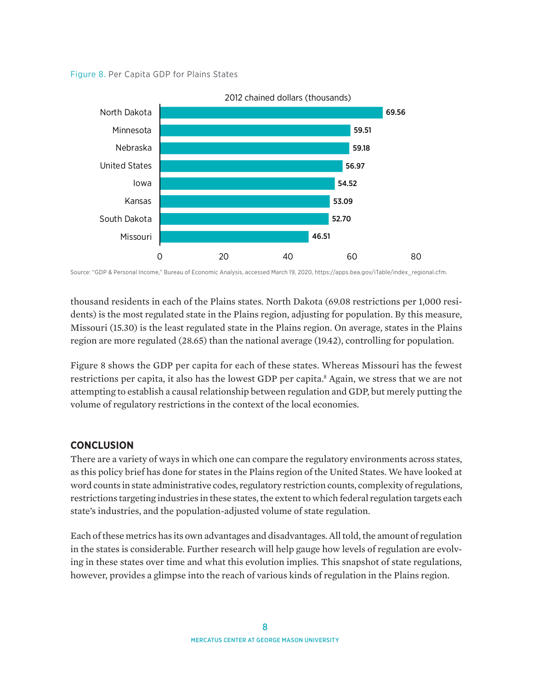<span id="page-7-0"></span>



Source: "GDP & Personal Income," Bureau of Economic Analysis, accessed March 19, 2020, [https://apps.bea.gov/iTable/index\\_regional.cfm](https://apps.bea.gov/iTable/index_regional.cfm).

thousand residents in each of the Plains states. North Dakota (69.08 restrictions per 1,000 residents) is the most regulated state in the Plains region, adjusting for population. By this measure, Missouri (15.30) is the least regulated state in the Plains region. On average, states in the Plains region are more regulated (28.65) than the national average (19.42), controlling for population.

Figure 8 shows the GDP per capita for each of these states. Whereas Missouri has the fewest restrictions per capita, it also has the lowest GDP per capita.<sup>8</sup> Again, we stress that we are not attempting to establish a causal relationship between regulation and GDP, but merely putting the volume of regulatory restrictions in the context of the local economies.

## **CONCLUSION**

There are a variety of ways in which one can compare the regulatory environments across states, as this policy brief has done for states in the Plains region of the United States. We have looked at word counts in state administrative codes, regulatory restriction counts, complexity of regulations, restrictions targeting industries in these states, the extent to which federal regulation targets each state's industries, and the population-adjusted volume of state regulation.

Each of these metrics has its own advantages and disadvantages. All told, the amount of regulation in the states is considerable. Further research will help gauge how levels of regulation are evolving in these states over time and what this evolution implies. This snapshot of state regulations, however, provides a glimpse into the reach of various kinds of regulation in the Plains region.